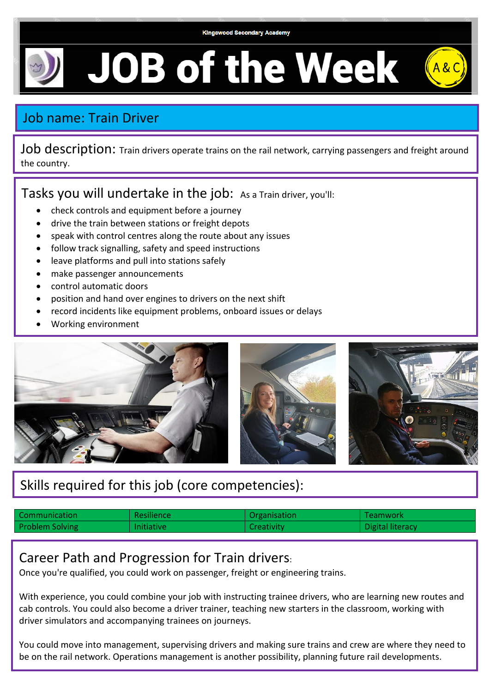

**JOB of the Week** 

## Job name: Train Driver

Job description: Train drivers operate trains on the rail network, carrying passengers and freight around the country.

Tasks you will undertake in the job: As a Train driver, you'll:

- check controls and equipment before a journey
- drive the train between stations or freight depots
- speak with control centres along the route about any issues
- follow track signalling, safety and speed instructions
- leave platforms and pull into stations safely
- make passenger announcements
- control automatic doors
- position and hand over engines to drivers on the next shift
- record incidents like equipment problems, onboard issues or delays
- Working environment



## Skills required for this job (core competencies):

| Communication          | Resilience        | Organisation      | Teamwork         |
|------------------------|-------------------|-------------------|------------------|
| <b>Problem Solving</b> | <b>Initiative</b> | <b>Creativity</b> | Digital literacy |

## Career Path and Progression for Train drivers:

Once you're qualified, you could work on passenger, freight or engineering trains.

With experience, you could combine your job with instructing trainee drivers, who are learning new routes and cab controls. You could also become a driver trainer, teaching new starters in the classroom, working with driver simulators and accompanying trainees on journeys.

You could move into management, supervising drivers and making sure trains and crew are where they need to be on the rail network. Operations management is another possibility, planning future rail developments.